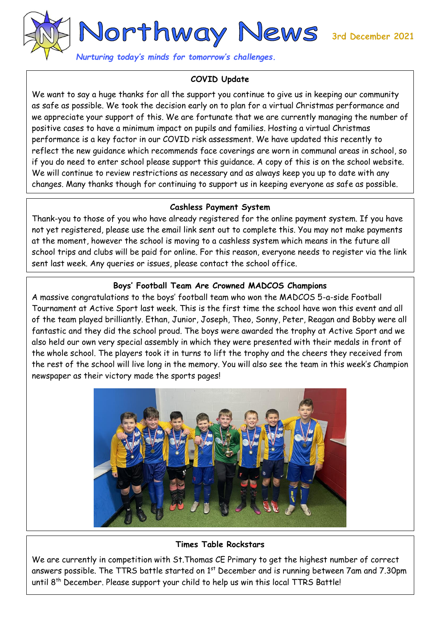

*Nurturing today's minds for tomorrow's challenges.* 

## **COVID Update**

We want to say a huge thanks for all the support you continue to give us in keeping our community as safe as possible. We took the decision early on to plan for a virtual Christmas performance and we appreciate your support of this. We are fortunate that we are currently managing the number of positive cases to have a minimum impact on pupils and families. Hosting a virtual Christmas performance is a key factor in our COVID risk assessment. We have updated this recently to reflect the new guidance which recommends face coverings are worn in communal areas in school, so if you do need to enter school please support this guidance. A copy of this is on the school website. We will continue to review restrictions as necessary and as always keep you up to date with any changes. Many thanks though for continuing to support us in keeping everyone as safe as possible.

## **Cashless Payment System**

Thank-you to those of you who have already registered for the online payment system. If you have not yet registered, please use the email link sent out to complete this. You may not make payments at the moment, however the school is moving to a cashless system which means in the future all school trips and clubs will be paid for online. For this reason, everyone needs to register via the link sent last week. Any queries or issues, please contact the school office.

# **Boys' Football Team Are Crowned MADCOS Champions**

A massive congratulations to the boys' football team who won the MADCOS 5-a-side Football Tournament at Active Sport last week. This is the first time the school have won this event and all of the team played brilliantly. Ethan, Junior, Joseph, Theo, Sonny, Peter, Reagan and Bobby were all fantastic and they did the school proud. The boys were awarded the trophy at Active Sport and we also held our own very special assembly in which they were presented with their medals in front of the whole school. The players took it in turns to lift the trophy and the cheers they received from the rest of the school will live long in the memory. You will also see the team in this week's Champion newspaper as their victory made the sports pages!



## **Times Table Rockstars**

We are currently in competition with St.Thomas CE Primary to get the highest number of correct answers possible. The TTRS battle started on  $1<sup>st</sup>$  December and is running between 7am and 7.30pm until 8<sup>th</sup> December. Please support your child to help us win this local TTRS Battle!